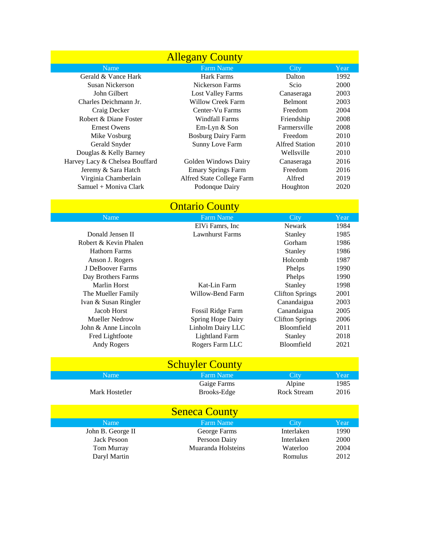| <b>Allegany County</b>         |                           |                |      |  |
|--------------------------------|---------------------------|----------------|------|--|
| Name                           | <b>Farm Name</b>          | City           | Year |  |
| Gerald & Vance Hark            | Hark Farms                | Dalton         | 1992 |  |
| Susan Nickerson                | Nickerson Farms           | Scio           | 2000 |  |
| John Gilbert                   | Lost Valley Farms         | Canaseraga     | 2003 |  |
| Charles Deichmann Jr.          | Willow Creek Farm         | <b>Belmont</b> | 2003 |  |
| Craig Decker                   | Center-Vu Farms           | Freedom        | 2004 |  |
| Robert & Diane Foster          | Windfall Farms            | Friendship     | 2008 |  |
| <b>Ernest Owens</b>            | $Em-Lyn & Son$            | Farmersville   | 2008 |  |
| Mike Vosburg                   | <b>Bosburg Dairy Farm</b> | Freedom        | 2010 |  |
| Gerald Snyder                  | <b>Sunny Love Farm</b>    | Alfred Station | 2010 |  |
| Douglas & Kelly Barney         |                           | Wellsville     | 2010 |  |
| Harvey Lacy & Chelsea Bouffard | Golden Windows Dairy      | Canaseraga     | 2016 |  |
| Jeremy & Sara Hatch            | <b>Emary Springs Farm</b> | Freedom        | 2016 |  |
| Virginia Chamberlain           | Alfred State College Farm | Alfred         | 2019 |  |
| Samuel + Moniva Clark          | Podonque Dairy            | Houghton       | 2020 |  |

## **County County**

| Name                  | <b>Farm Name</b>       | City                   | Year |
|-----------------------|------------------------|------------------------|------|
|                       | ElVi Famrs, Inc.       | Newark                 | 1984 |
| Donald Jensen II      | <b>Lawnhurst Farms</b> | Stanley                | 1985 |
| Robert & Kevin Phalen |                        | Gorham                 | 1986 |
| <b>Hathorn Farms</b>  |                        | Stanley                | 1986 |
| Anson J. Rogers       |                        | Holcomb                | 1987 |
| J DeBoover Farms      |                        | Phelps                 | 1990 |
| Day Brothers Farms    |                        | Phelps                 | 1990 |
| Marlin Horst          | Kat-Lin Farm           | Stanley                | 1998 |
| The Mueller Family    | Willow-Bend Farm       | <b>Clifton Springs</b> | 2001 |
| Ivan & Susan Ringler  |                        | Canandaigua            | 2003 |
| Jacob Horst           | Fossil Ridge Farm      | Canandaigua            | 2005 |
| Mueller Nedrow        | Spring Hope Dairy      | <b>Clifton Springs</b> | 2006 |
| John & Anne Lincoln   | Linholm Dairy LLC      | Bloomfield             | 2011 |
| Fred Lightfoote       | <b>Lightland Farm</b>  | Stanley                | 2018 |
| Andy Rogers           | Rogers Farm LLC        | Bloomfield             | 2021 |
|                       |                        |                        |      |

|                      | <b>Schuyler County</b> |                    |      |  |
|----------------------|------------------------|--------------------|------|--|
| Name                 | <b>Farm Name</b>       | City               | Year |  |
|                      | Gaige Farms            | Alpine             | 1985 |  |
| Mark Hostetler       | Brooks-Edge            | <b>Rock Stream</b> | 2016 |  |
| <b>Seneca County</b> |                        |                    |      |  |
| Name                 | <b>Farm Name</b>       | City               | Year |  |
| John B. George II    | George Farms           | Interlaken         | 1990 |  |
| Jack Pesoon          | Persoon Dairy          | Interlaken         | 2000 |  |
| Tom Murray           | Muaranda Holsteins     | Waterloo           | 2004 |  |
| Daryl Martin         |                        | Romulus            | 2012 |  |